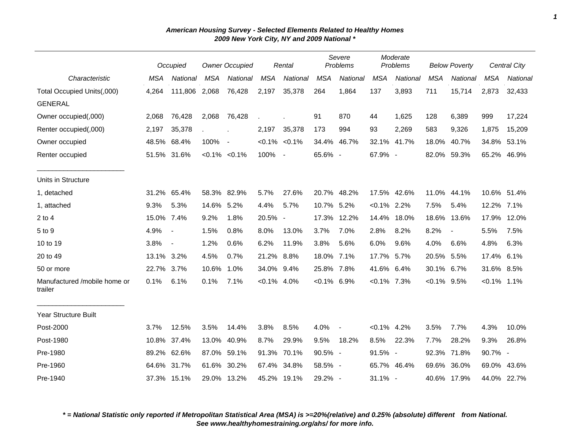|                                         |            | Occupied       | <b>Owner Occupied</b> |                     | Rental     |                          | Severe<br>Problems |             | Moderate<br>Problems |             | <b>Below Poverty</b> |                          | <b>Central City</b> |          |
|-----------------------------------------|------------|----------------|-----------------------|---------------------|------------|--------------------------|--------------------|-------------|----------------------|-------------|----------------------|--------------------------|---------------------|----------|
| Characteristic                          | <b>MSA</b> | National       | MSA                   | National            | <b>MSA</b> | National                 | <b>MSA</b>         | National    | <b>MSA</b>           | National    | <b>MSA</b>           | National                 | <b>MSA</b>          | National |
| Total Occupied Units(,000)              | 4,264      | 111,806 2,068  |                       | 76,428              | 2,197      | 35,378                   | 264                | 1,864       | 137                  | 3,893       | 711                  | 15,714                   | 2,873               | 32,433   |
| <b>GENERAL</b>                          |            |                |                       |                     |            |                          |                    |             |                      |             |                      |                          |                     |          |
| Owner occupied(,000)                    | 2,068      | 76,428         | 2,068                 | 76,428              |            |                          | 91                 | 870         | 44                   | 1,625       | 128                  | 6,389                    | 999                 | 17,224   |
| Renter occupied(,000)                   | 2,197      | 35,378         |                       |                     | 2,197      | 35,378                   | 173                | 994         | 93                   | 2,269       | 583                  | 9,326                    | 1,875               | 15,209   |
| Owner occupied                          |            | 48.5% 68.4%    | 100%                  | $\sim$              |            | $< 0.1\% < 0.1\%$        | 34.4%              | 46.7%       |                      | 32.1% 41.7% | 18.0%                | 40.7%                    | 34.8%               | 53.1%    |
| Renter occupied                         |            | 51.5% 31.6%    |                       | $< 0.1\%$ $< 0.1\%$ | 100%       | $\overline{\phantom{a}}$ | 65.6% -            |             | 67.9% -              |             | 82.0%                | 59.3%                    | 65.2%               | 46.9%    |
| Units in Structure                      |            |                |                       |                     |            |                          |                    |             |                      |             |                      |                          |                     |          |
| 1, detached                             | 31.2%      | 65.4%          |                       | 58.3% 82.9%         | 5.7%       | 27.6%                    |                    | 20.7% 48.2% |                      | 17.5% 42.6% |                      | 11.0% 44.1%              | 10.6% 51.4%         |          |
| 1, attached                             | 9.3%       | 5.3%           | 14.6%                 | 5.2%                | 4.4%       | 5.7%                     | 10.7% 5.2%         |             | $< 0.1\%$ 2.2%       |             | 7.5%                 | 5.4%                     | 12.2% 7.1%          |          |
| $2$ to 4                                | 15.0% 7.4% |                | 9.2%                  | 1.8%                | 20.5% -    |                          |                    | 17.3% 12.2% | 14.4%                | 18.0%       |                      | 18.6% 13.6%              | 17.9% 12.0%         |          |
| 5 to 9                                  | 4.9%       | $\blacksquare$ | 1.5%                  | 0.8%                | 8.0%       | 13.0%                    | 3.7%               | 7.0%        | 2.8%                 | 8.2%        | 8.2%                 | $\overline{\phantom{a}}$ | 5.5%                | 7.5%     |
| 10 to 19                                | 3.8%       | $\blacksquare$ | 1.2%                  | 0.6%                | 6.2%       | 11.9%                    | 3.8%               | 5.6%        | 6.0%                 | 9.6%        | 4.0%                 | 6.6%                     | 4.8%                | 6.3%     |
| 20 to 49                                | 13.1% 3.2% |                | 4.5%                  | 0.7%                | 21.2%      | 8.8%                     | 18.0% 7.1%         |             | 17.7%                | 5.7%        | 20.5%                | 5.5%                     | 17.4%               | 6.1%     |
| 50 or more                              | 22.7%      | 3.7%           | 10.6%                 | 1.0%                | 34.0%      | 9.4%                     | 25.8% 7.8%         |             | 41.6%                | 6.4%        | 30.1%                | $6.7\%$                  | 31.6% 8.5%          |          |
| Manufactured /mobile home or<br>trailer | 0.1%       | 6.1%           | 0.1%                  | 7.1%                | $< 0.1\%$  | 4.0%                     | $< 0.1\%$ 6.9%     |             | $< 0.1\%$            | 7.3%        | $< 0.1\%$ 9.5%       |                          | $< 0.1\%$ 1.1%      |          |
| <b>Year Structure Built</b>             |            |                |                       |                     |            |                          |                    |             |                      |             |                      |                          |                     |          |
| Post-2000                               | 3.7%       | 12.5%          | 3.5%                  | 14.4%               | 3.8%       | 8.5%                     | 4.0%               |             | $< 0.1\%$ 4.2%       |             | 3.5%                 | 7.7%                     | 4.3%                | 10.0%    |
| Post-1980                               | 10.8%      | 37.4%          | 13.0%                 | 40.9%               | 8.7%       | 29.9%                    | 9.5%               | 18.2%       | 8.5%                 | 22.3%       | 7.7%                 | 28.2%                    | 9.3%                | 26.8%    |
| Pre-1980                                | 89.2%      | 62.6%          | 87.0%                 | 59.1%               | 91.3%      | 70.1%                    | 90.5% -            |             | 91.5% -              |             | 92.3%                | 71.8%                    | $90.7\%$ -          |          |
| Pre-1960                                | 64.6%      | 31.7%          | 61.6%                 | 30.2%               | 67.4%      | 34.8%                    | 58.5% -            |             |                      | 65.7% 46.4% | 69.6%                | 36.0%                    | 69.0%               | 43.6%    |
| Pre-1940                                |            | 37.3% 15.1%    |                       | 29.0% 13.2%         | 45.2%      | 19.1%                    | 29.2% -            |             | $31.1\%$ -           |             |                      | 40.6% 17.9%              | 44.0% 22.7%         |          |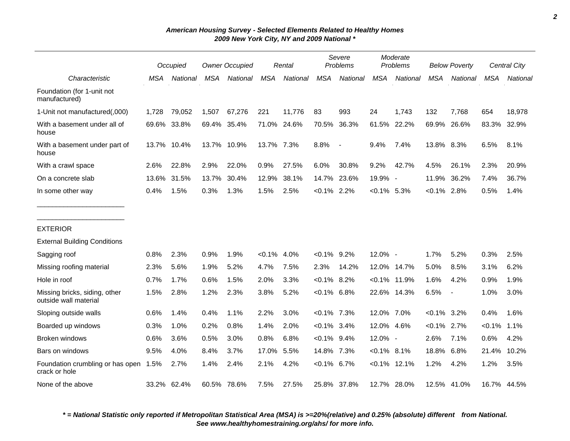|                                                        |            | Occupied    |            | <b>Owner Occupied</b> |            | Rental      |                | Severe<br>Problems |                | Moderate<br>Problems |                | <b>Below Poverty</b> |            | <b>Central City</b> |
|--------------------------------------------------------|------------|-------------|------------|-----------------------|------------|-------------|----------------|--------------------|----------------|----------------------|----------------|----------------------|------------|---------------------|
| Characteristic                                         | <b>MSA</b> | National    | <b>MSA</b> | National              | <b>MSA</b> | National    | <b>MSA</b>     | National           | <b>MSA</b>     | National             | <b>MSA</b>     | National             | <b>MSA</b> | National            |
| Foundation (for 1-unit not<br>manufactured)            |            |             |            |                       |            |             |                |                    |                |                      |                |                      |            |                     |
| 1-Unit not manufactured(,000)                          | 1,728      | 79,052      | 1,507      | 67,276                | 221        | 11,776      | 83             | 993                | 24             | 1,743                | 132            | 7,768                | 654        | 18,978              |
| With a basement under all of<br>house                  | 69.6%      | 33.8%       |            | 69.4% 35.4%           |            | 71.0% 24.6% | 70.5%          | 36.3%              | 61.5%          | 22.2%                | 69.9%          | 26.6%                | 83.3%      | 32.9%               |
| With a basement under part of<br>house                 |            | 13.7% 10.4% | 13.7%      | 10.9%                 | 13.7% 7.3% |             | 8.8%           | $\blacksquare$     | 9.4%           | 7.4%                 | 13.8% 8.3%     |                      | 6.5%       | 8.1%                |
| With a crawl space                                     | 2.6%       | 22.8%       | 2.9%       | 22.0%                 | 0.9%       | 27.5%       | 6.0%           | 30.8%              | 9.2%           | 42.7%                | 4.5%           | 26.1%                | 2.3%       | 20.9%               |
| On a concrete slab                                     | 13.6%      | 31.5%       | 13.7%      | 30.4%                 | 12.9%      | 38.1%       | 14.7%          | 23.6%              | 19.9% -        |                      | 11.9%          | 36.2%                | 7.4%       | 36.7%               |
| In some other way                                      | 0.4%       | 1.5%        | 0.3%       | 1.3%                  | 1.5%       | 2.5%        | $< 0.1\%$ 2.2% |                    | $< 0.1\%$ 5.3% |                      | $< 0.1\%$ 2.8% |                      | 0.5%       | 1.4%                |
| <b>EXTERIOR</b>                                        |            |             |            |                       |            |             |                |                    |                |                      |                |                      |            |                     |
| <b>External Building Conditions</b>                    |            |             |            |                       |            |             |                |                    |                |                      |                |                      |            |                     |
| Sagging roof                                           | 0.8%       | 2.3%        | 0.9%       | 1.9%                  | $< 0.1\%$  | 4.0%        | $< 0.1\%$ 9.2% |                    | 12.0% -        |                      | 1.7%           | 5.2%                 | 0.3%       | 2.5%                |
| Missing roofing material                               | 2.3%       | 5.6%        | 1.9%       | 5.2%                  | 4.7%       | 7.5%        | 2.3%           | 14.2%              | 12.0%          | 14.7%                | 5.0%           | 8.5%                 | 3.1%       | 6.2%                |
| Hole in roof                                           | 0.7%       | 1.7%        | 0.6%       | 1.5%                  | 2.0%       | 3.3%        | $< 0.1\%$ 8.2% |                    |                | $< 0.1\%$ 11.9%      | 1.6%           | 4.2%                 | 0.9%       | 1.9%                |
| Missing bricks, siding, other<br>outside wall material | 1.5%       | 2.8%        | 1.2%       | 2.3%                  | 3.8%       | 5.2%        | $<0.1\%$ 6.8%  |                    |                | 22.6% 14.3%          | 6.5%           | $\blacksquare$       | 1.0%       | 3.0%                |
| Sloping outside walls                                  | 0.6%       | 1.4%        | 0.4%       | 1.1%                  | 2.2%       | 3.0%        | $< 0.1\%$ 7.3% |                    | 12.0% 7.0%     |                      | $< 0.1\%$      | 3.2%                 | 0.4%       | 1.6%                |
| Boarded up windows                                     | 0.3%       | 1.0%        | 0.2%       | 0.8%                  | 1.4%       | 2.0%        | $< 0.1\%$ 3.4% |                    | 12.0%          | 4.6%                 | $< 0.1\%$      | 2.7%                 | $< 0.1\%$  | 1.1%                |
| Broken windows                                         | 0.6%       | 3.6%        | 0.5%       | 3.0%                  | 0.8%       | 6.8%        | $< 0.1\%$ 9.4% |                    | 12.0% -        |                      | 2.6%           | 7.1%                 | 0.6%       | 4.2%                |
| Bars on windows                                        | 9.5%       | 4.0%        | 8.4%       | 3.7%                  | 17.0%      | 5.5%        | 14.8% 7.3%     |                    | $< 0.1\%$ 8.1% |                      | 18.8%          | 6.8%                 | 21.4%      | 10.2%               |
| Foundation crumbling or has open<br>crack or hole      | 1.5%       | 2.7%        | 1.4%       | 2.4%                  | 2.1%       | 4.2%        | $< 0.1\%$ 6.7% |                    |                | $< 0.1\%$ 12.1%      | 1.2%           | 4.2%                 | 1.2%       | 3.5%                |
| None of the above                                      |            | 33.2% 62.4% |            | 60.5% 78.6%           | 7.5%       | 27.5%       |                | 25.8% 37.8%        | 12.7%          | 28.0%                | 12.5% 41.0%    |                      |            | 16.7% 44.5%         |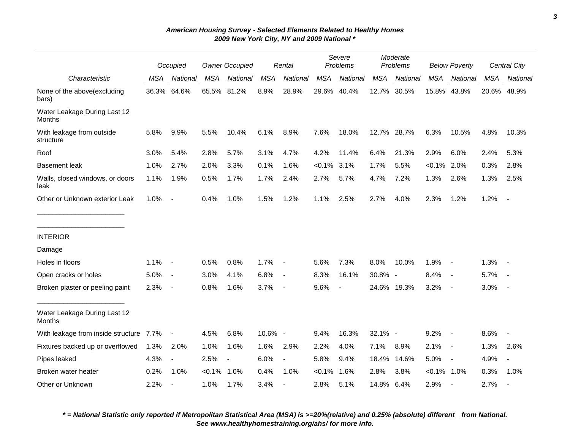|                                         |            | Occupied                 |            | <b>Owner Occupied</b>    |            | Rental                   |            | Severe<br>Problems       |            | Moderate<br>Problems |                | <b>Below Poverty</b>     |            | Central City             |
|-----------------------------------------|------------|--------------------------|------------|--------------------------|------------|--------------------------|------------|--------------------------|------------|----------------------|----------------|--------------------------|------------|--------------------------|
| Characteristic                          | <b>MSA</b> | National                 | <b>MSA</b> | National                 | <b>MSA</b> | National                 | <b>MSA</b> | National                 | <b>MSA</b> | National             | <b>MSA</b>     | National                 | <b>MSA</b> | National                 |
| None of the above(excluding<br>bars)    | 36.3%      | 64.6%                    |            | 65.5% 81.2%              | 8.9%       | 28.9%                    |            | 29.6% 40.4%              |            | 12.7% 30.5%          | 15.8%          | 43.8%                    |            | 20.6% 48.9%              |
| Water Leakage During Last 12<br>Months  |            |                          |            |                          |            |                          |            |                          |            |                      |                |                          |            |                          |
| With leakage from outside<br>structure  | 5.8%       | 9.9%                     | 5.5%       | 10.4%                    | 6.1%       | 8.9%                     | 7.6%       | 18.0%                    |            | 12.7% 28.7%          | 6.3%           | 10.5%                    | 4.8%       | 10.3%                    |
| Roof                                    | 3.0%       | 5.4%                     | 2.8%       | 5.7%                     | 3.1%       | 4.7%                     | 4.2%       | 11.4%                    | 6.4%       | 21.3%                | 2.9%           | 6.0%                     | 2.4%       | 5.3%                     |
| <b>Basement leak</b>                    | 1.0%       | 2.7%                     | 2.0%       | 3.3%                     | 0.1%       | 1.6%                     | $< 0.1\%$  | 3.1%                     | 1.7%       | 5.5%                 | $< 0.1\%$      | 2.0%                     | 0.3%       | 2.8%                     |
| Walls, closed windows, or doors<br>leak | 1.1%       | 1.9%                     | 0.5%       | 1.7%                     | 1.7%       | 2.4%                     | 2.7%       | 5.7%                     | 4.7%       | 7.2%                 | 1.3%           | 2.6%                     | 1.3%       | 2.5%                     |
| Other or Unknown exterior Leak          | 1.0%       | $\overline{\phantom{a}}$ | 0.4%       | 1.0%                     | 1.5%       | 1.2%                     | 1.1%       | 2.5%                     | 2.7%       | 4.0%                 | 2.3%           | 1.2%                     | 1.2%       | $\overline{\phantom{a}}$ |
| <b>INTERIOR</b>                         |            |                          |            |                          |            |                          |            |                          |            |                      |                |                          |            |                          |
| Damage                                  |            |                          |            |                          |            |                          |            |                          |            |                      |                |                          |            |                          |
| Holes in floors                         | 1.1%       | $\overline{\phantom{a}}$ | 0.5%       | 0.8%                     | 1.7%       | $\overline{\phantom{a}}$ | 5.6%       | 7.3%                     | 8.0%       | 10.0%                | 1.9%           | $\sim$                   | 1.3%       |                          |
| Open cracks or holes                    | 5.0%       | $\blacksquare$           | 3.0%       | 4.1%                     | 6.8%       | $\overline{\phantom{a}}$ | 8.3%       | 16.1%                    | 30.8% -    |                      | 8.4%           | $\sim$                   | 5.7%       |                          |
| Broken plaster or peeling paint         | 2.3%       | $\overline{\phantom{a}}$ | 0.8%       | 1.6%                     | 3.7%       | $\overline{\phantom{a}}$ | 9.6%       | $\overline{\phantom{a}}$ |            | 24.6% 19.3%          | 3.2%           | $\sim$                   | 3.0%       |                          |
| Water Leakage During Last 12<br>Months  |            |                          |            |                          |            |                          |            |                          |            |                      |                |                          |            |                          |
| With leakage from inside structure 7.7% |            | $\blacksquare$           | 4.5%       | 6.8%                     | 10.6% -    |                          | 9.4%       | 16.3%                    | 32.1% -    |                      | 9.2%           | $\sim$                   | 8.6%       | $\overline{\phantom{a}}$ |
| Fixtures backed up or overflowed        | 1.3%       | 2.0%                     | 1.0%       | 1.6%                     | 1.6%       | 2.9%                     | 2.2%       | 4.0%                     | 7.1%       | 8.9%                 | 2.1%           | $\sim$                   | 1.3%       | 2.6%                     |
| Pipes leaked                            | 4.3%       | $\overline{\phantom{a}}$ | 2.5%       | $\overline{\phantom{a}}$ | 6.0%       | $\overline{\phantom{a}}$ | 5.8%       | 9.4%                     | 18.4%      | 14.6%                | 5.0%           | $\overline{\phantom{a}}$ | 4.9%       | $\overline{\phantom{a}}$ |
| Broken water heater                     | 0.2%       | 1.0%                     | $< 0.1\%$  | 1.0%                     | 0.4%       | 1.0%                     | $< 0.1\%$  | 1.6%                     | 2.8%       | 3.8%                 | $< 0.1\%$ 1.0% |                          | 0.3%       | 1.0%                     |
| Other or Unknown                        | 2.2%       | $\blacksquare$           | 1.0%       | 1.7%                     | 3.4%       |                          | 2.8%       | 5.1%                     | 14.8%      | 6.4%                 | 2.9%           | $\blacksquare$           | 2.7%       |                          |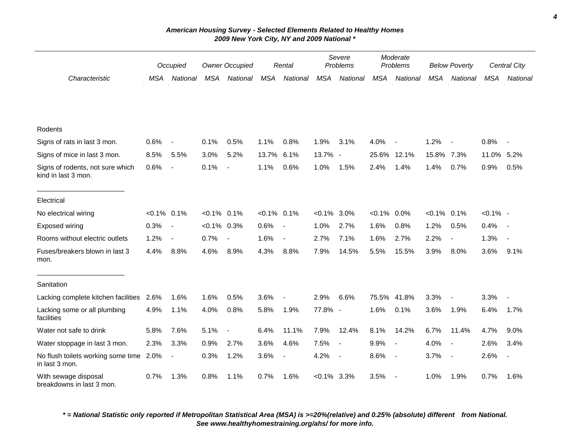|                                                         | Occupied       |                          | <b>Owner Occupied</b> |                | Rental         |                          | Severe<br>Problems |                          | Moderate<br>Problems |                          | <b>Below Poverty</b> |                          | Central City |                          |
|---------------------------------------------------------|----------------|--------------------------|-----------------------|----------------|----------------|--------------------------|--------------------|--------------------------|----------------------|--------------------------|----------------------|--------------------------|--------------|--------------------------|
| Characteristic                                          | <b>MSA</b>     | National                 | <b>MSA</b>            | National       | MSA            | National                 | <b>MSA</b>         | National                 | <b>MSA</b>           | National                 | <b>MSA</b>           | National                 | <b>MSA</b>   | National                 |
|                                                         |                |                          |                       |                |                |                          |                    |                          |                      |                          |                      |                          |              |                          |
| Rodents                                                 |                |                          |                       |                |                |                          |                    |                          |                      |                          |                      |                          |              |                          |
| Signs of rats in last 3 mon.                            | 0.6%           | $\blacksquare$           | 0.1%                  | 0.5%           | 1.1%           | 0.8%                     | 1.9%               | 3.1%                     | 4.0%                 |                          | 1.2%                 | $\overline{\phantom{a}}$ | 0.8%         |                          |
| Signs of mice in last 3 mon.                            | 8.5%           | 5.5%                     | 3.0%                  | 5.2%           | 13.7%          | 6.1%                     | 13.7%              | $\overline{\phantom{a}}$ | 25.6%                | 12.1%                    | 15.8%                | 7.3%                     | 11.0%        | 5.2%                     |
| Signs of rodents, not sure which<br>kind in last 3 mon. | 0.6%           | $\overline{\phantom{a}}$ | 0.1%                  | $\blacksquare$ | 1.1%           | 0.6%                     | 1.0%               | 1.5%                     | 2.4%                 | 1.4%                     | 1.4%                 | 0.7%                     | 0.9%         | 0.5%                     |
| Electrical                                              |                |                          |                       |                |                |                          |                    |                          |                      |                          |                      |                          |              |                          |
| No electrical wiring                                    | $< 0.1\%$ 0.1% |                          | $< 0.1\%$ 0.1%        |                | $< 0.1\%$ 0.1% |                          | $< 0.1\%$          | 3.0%                     | $< 0.1\%$            | 0.0%                     | $< 0.1\%$ 0.1%       |                          | $< 0.1\%$ -  |                          |
| Exposed wiring                                          | 0.3%           | $\overline{\phantom{a}}$ | $<0.1\%$ 0.3%         |                | 0.6%           | $\overline{\phantom{a}}$ | 1.0%               | 2.7%                     | 1.6%                 | 0.8%                     | 1.2%                 | 0.5%                     | 0.4%         |                          |
| Rooms without electric outlets                          | 1.2%           | $\overline{\phantom{a}}$ | 0.7%                  | $\blacksquare$ | 1.6%           | $\blacksquare$           | 2.7%               | 7.1%                     | 1.6%                 | 2.7%                     | 2.2%                 | $\overline{\phantom{a}}$ | 1.3%         | $\blacksquare$           |
| Fuses/breakers blown in last 3<br>mon.                  | 4.4%           | 8.8%                     | 4.6%                  | 8.9%           | 4.3%           | 8.8%                     | 7.9%               | 14.5%                    | 5.5%                 | 15.5%                    | 3.9%                 | 8.0%                     | 3.6%         | 9.1%                     |
| Sanitation                                              |                |                          |                       |                |                |                          |                    |                          |                      |                          |                      |                          |              |                          |
| Lacking complete kitchen facilities                     | 2.6%           | 1.6%                     | 1.6%                  | 0.5%           | 3.6%           | $\blacksquare$           | 2.9%               | 6.6%                     | 75.5%                | 41.8%                    | 3.3%                 | $\blacksquare$           | 3.3%         | $\overline{\phantom{a}}$ |
| Lacking some or all plumbing<br>facilities              | 4.9%           | 1.1%                     | 4.0%                  | 0.8%           | 5.8%           | 1.9%                     | 77.8% -            |                          | 1.6%                 | 0.1%                     | 3.6%                 | 1.9%                     | 6.4%         | 1.7%                     |
| Water not safe to drink                                 | 5.8%           | 7.6%                     | 5.1%                  | $\blacksquare$ | 6.4%           | 11.1%                    | 7.9%               | 12.4%                    | 8.1%                 | 14.2%                    | 6.7%                 | 11.4%                    | 4.7%         | 9.0%                     |
| Water stoppage in last 3 mon.                           | 2.3%           | 3.3%                     | 0.9%                  | 2.7%           | 3.6%           | 4.6%                     | 7.5%               | $\overline{\phantom{a}}$ | 9.9%                 | $\overline{\phantom{a}}$ | 4.0%                 | $\overline{\phantom{a}}$ | 2.6%         | 3.4%                     |
| No flush toilets working some time<br>in last 3 mon.    | 2.0%           | $\overline{\phantom{a}}$ | 0.3%                  | 1.2%           | 3.6%           | $\blacksquare$           | 4.2%               | $\overline{\phantom{a}}$ | 8.6%                 | $\blacksquare$           | 3.7%                 | $\sim$                   | 2.6%         | $\overline{\phantom{a}}$ |
| With sewage disposal<br>breakdowns in last 3 mon.       | 0.7%           | 1.3%                     | 0.8%                  | 1.1%           | 0.7%           | 1.6%                     | $<0.1\%$ 3.3%      |                          | 3.5%                 | $\overline{\phantom{a}}$ | 1.0%                 | 1.9%                     | 0.7%         | 1.6%                     |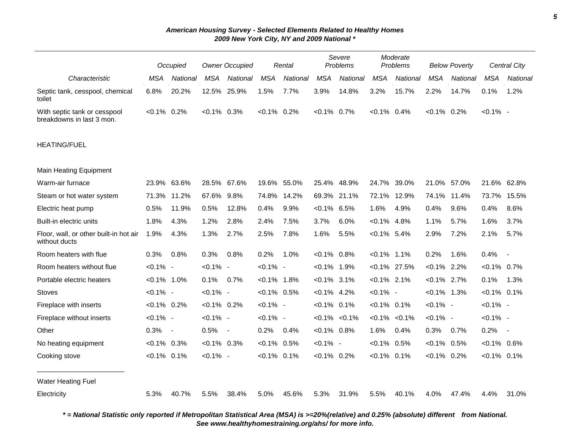|                                                           |                | Occupied                 |                | <b>Owner Occupied</b> |                | Rental   |                     | Severe<br>Problems |                     | Moderate<br>Problems |                | <b>Below Poverty</b> |                | Central City             |
|-----------------------------------------------------------|----------------|--------------------------|----------------|-----------------------|----------------|----------|---------------------|--------------------|---------------------|----------------------|----------------|----------------------|----------------|--------------------------|
| Characteristic                                            | <b>MSA</b>     | National                 | <b>MSA</b>     | National              | <b>MSA</b>     | National | <b>MSA</b>          | National           | <b>MSA</b>          | National             | <b>MSA</b>     | National             | <b>MSA</b>     | National                 |
| Septic tank, cesspool, chemical<br>toilet                 | 6.8%           | 20.2%                    | 12.5%          | 25.9%                 | 1.5%           | 7.7%     | 3.9%                | 14.8%              | 3.2%                | 15.7%                | 2.2%           | 14.7%                | 0.1%           | 1.2%                     |
| With septic tank or cesspool<br>breakdowns in last 3 mon. | $< 0.1\%$ 0.2% |                          | $< 0.1\%$ 0.3% |                       | $< 0.1\%$ 0.2% |          | $< 0.1\%$ 0.7%      |                    | $< 0.1\%$ 0.4%      |                      | $< 0.1\%$ 0.2% |                      | $< 0.1\%$ -    |                          |
| <b>HEATING/FUEL</b>                                       |                |                          |                |                       |                |          |                     |                    |                     |                      |                |                      |                |                          |
| <b>Main Heating Equipment</b>                             |                |                          |                |                       |                |          |                     |                    |                     |                      |                |                      |                |                          |
| Warm-air furnace                                          | 23.9%          | 63.6%                    | 28.5% 67.6%    |                       | 19.6%          | 55.0%    | 25.4%               | 48.9%              | 24.7%               | 39.0%                | 21.0% 57.0%    |                      | 21.6%          | 62.8%                    |
| Steam or hot water system                                 | 71.3%          | 11.2%                    | 67.6%          | 9.8%                  | 74.8%          | 14.2%    | 69.3%               | 21.1%              | 72.1%               | 12.9%                | 74.1%          | 11.4%                | 73.7%          | 15.5%                    |
| Electric heat pump                                        | 0.5%           | 11.9%                    | 0.5%           | 12.8%                 | 0.4%           | 9.9%     | $< 0.1\%$ 6.5%      |                    | 1.6%                | 4.9%                 | 0.4%           | 9.6%                 | 0.4%           | 8.6%                     |
| Built-in electric units                                   | 1.8%           | 4.3%                     | 1.2%           | 2.8%                  | 2.4%           | 7.5%     | 3.7%                | 6.0%               | $< 0.1\%$ 4.8%      |                      | 1.1%           | 5.7%                 | 1.6%           | 3.7%                     |
| Floor, wall, or other built-in hot air<br>without ducts   | 1.9%           | 4.3%                     | 1.3%           | 2.7%                  | 2.5%           | 7.8%     | 1.6%                | 5.5%               | $< 0.1\%$ 5.4%      |                      | 2.9%           | 7.2%                 | 2.1%           | 5.7%                     |
| Room heaters with flue                                    | 0.3%           | 0.8%                     | 0.3%           | 0.8%                  | 0.2%           | 1.0%     | $< 0.1\%$ 0.8%      |                    | $< 0.1\%$ 1.1%      |                      | 0.2%           | 1.6%                 | 0.4%           | $\overline{\phantom{a}}$ |
| Room heaters without flue                                 | $< 0.1\%$ -    |                          | $< 0.1\%$ -    |                       | $< 0.1\%$ -    |          | $< 0.1\%$ 1.9%      |                    | $< 0.1\%$ 27.5%     |                      | $< 0.1\%$ 2.2% |                      | $< 0.1\%$ 0.7% |                          |
| Portable electric heaters                                 | $< 0.1\%$ 1.0% |                          | 0.1%           | 0.7%                  | $< 0.1\%$ 1.8% |          | $< 0.1\%$ 3.1%      |                    | $< 0.1\%$ 2.1%      |                      | $< 0.1\%$ 2.7% |                      | 0.1%           | 1.3%                     |
| <b>Stoves</b>                                             | $< 0.1\%$ -    |                          | $< 0.1\%$ -    |                       | $< 0.1\%$ 0.5% |          | $< 0.1\%$ 4.2%      |                    | $< 0.1\%$ -         |                      | $< 0.1\%$ 1.3% |                      | $< 0.1\%$ 0.1% |                          |
| Fireplace with inserts                                    | $< 0.1\%$ 0.2% |                          | $< 0.1\%$ 0.2% |                       | $< 0.1\%$ -    |          | $< 0.1\%$ 0.1%      |                    | $< 0.1\%$ 0.1%      |                      | $< 0.1\%$ -    |                      | $< 0.1\%$ -    |                          |
| Fireplace without inserts                                 | $< 0.1\%$ -    |                          | $< 0.1\%$ -    |                       | $< 0.1\%$ -    |          | $< 0.1\%$ $< 0.1\%$ |                    | $< 0.1\%$ $< 0.1\%$ |                      | $< 0.1\%$ -    |                      | $< 0.1\%$ -    |                          |
| Other                                                     | 0.3%           | $\overline{\phantom{a}}$ | 0.5%           | $\sim$                | 0.2%           | 0.4%     | $< 0.1\%$ 0.8%      |                    | 1.6%                | 0.4%                 | 0.3%           | 0.7%                 | 0.2%           | $\sim$                   |
| No heating equipment                                      | $< 0.1\%$      | 0.3%                     | $< 0.1\%$ 0.3% |                       | $< 0.1\%$      | 0.5%     | $< 0.1\%$ -         |                    | $< 0.1\%$           | 0.5%                 | $< 0.1\%$ 0.5% |                      | $< 0.1\%$ 0.6% |                          |
| Cooking stove                                             | $< 0.1\%$ 0.1% |                          | $< 0.1\%$ -    |                       | $< 0.1\%$ 0.1% |          | $< 0.1\%$ 0.2%      |                    | $< 0.1\%$ 0.1%      |                      | $< 0.1\%$ 0.2% |                      | $< 0.1\%$ 0.1% |                          |
| Water Heating Fuel                                        |                |                          |                |                       |                |          |                     |                    |                     |                      |                |                      |                |                          |
| Electricity                                               | 5.3%           | 40.7%                    | 5.5%           | 38.4%                 | 5.0%           | 45.6%    | 5.3%                | 31.9%              | 5.5%                | 40.1%                | 4.0%           | 47.4%                | 4.4%           | 31.0%                    |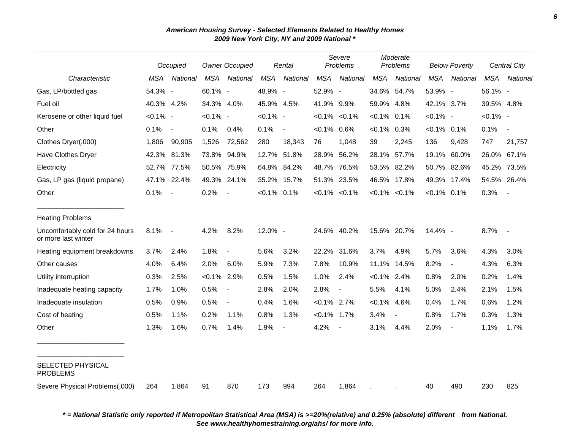|                                                        |             | Occupied                 |             | <b>Owner Occupied</b> |                | Rental                   |                | Severe<br>Problems  |                | Moderate<br>Problems |                | <b>Below Poverty</b>     |             | Central City             |
|--------------------------------------------------------|-------------|--------------------------|-------------|-----------------------|----------------|--------------------------|----------------|---------------------|----------------|----------------------|----------------|--------------------------|-------------|--------------------------|
| Characteristic                                         | <b>MSA</b>  | National                 | <b>MSA</b>  | National              | <b>MSA</b>     | National                 | <b>MSA</b>     | National            | <b>MSA</b>     | National             | <b>MSA</b>     | National                 | <b>MSA</b>  | National                 |
| Gas, LP/bottled gas                                    | 54.3% -     |                          | 60.1% -     |                       | 48.9% -        |                          | 52.9% -        |                     |                | 34.6% 54.7%          | 53.9% -        |                          | 56.1% -     |                          |
| Fuel oil                                               | 40.3% 4.2%  |                          | 34.3% 4.0%  |                       | 45.9% 4.5%     |                          | 41.9% 9.9%     |                     | 59.9% 4.8%     |                      | 42.1% 3.7%     |                          | 39.5% 4.8%  |                          |
| Kerosene or other liquid fuel                          | $< 0.1\%$ - |                          | $< 0.1\%$ - |                       | $< 0.1\%$ -    |                          |                | $< 0.1\%$ $< 0.1\%$ | $< 0.1\%$ 0.1% |                      | $< 0.1\%$ -    |                          | $< 0.1\%$ - |                          |
| Other                                                  | 0.1%        | $\overline{\phantom{a}}$ | 0.1%        | 0.4%                  | 0.1%           | $\overline{\phantom{a}}$ | $< 0.1\%$ 0.6% |                     | $< 0.1\%$ 0.3% |                      | $< 0.1\%$ 0.1% |                          | 0.1%        | $\overline{\phantom{a}}$ |
| Clothes Dryer(,000)                                    | 1,806       | 90,905                   | 1,526       | 72,562                | 280            | 18,343                   | 76             | 1,048               | 39             | 2,245                | 136            | 9,428                    | 747         | 21,757                   |
| Have Clothes Dryer                                     | 42.3%       | 81.3%                    | 73.8%       | 94.9%                 | 12.7%          | 51.8%                    | 28.9%          | 56.2%               | 28.1%          | 57.7%                | 19.1%          | 60.0%                    | 26.0%       | 67.1%                    |
| Electricity                                            | 52.7% 77.5% |                          | 50.5%       | 75.9%                 | 64.8%          | 84.2%                    |                | 48.7% 76.5%         |                | 53.5% 82.2%          |                | 50.7% 82.6%              | 45.2%       | 73.5%                    |
| Gas, LP gas (liquid propane)                           |             | 47.1% 22.4%              | 49.3%       | 24.1%                 | 35.2%          | 15.7%                    |                | 51.3% 23.5%         |                | 46.5% 17.8%          | 49.3%          | 17.4%                    | 54.5%       | 26.4%                    |
| Other                                                  | 0.1%        | $\overline{\phantom{a}}$ | 0.2%        |                       | $< 0.1\%$ 0.1% |                          |                | $< 0.1\%$ $< 0.1\%$ |                | $< 0.1\%$ $< 0.1\%$  | $< 0.1\%$ 0.1% |                          | 0.3%        |                          |
| <b>Heating Problems</b>                                |             |                          |             |                       |                |                          |                |                     |                |                      |                |                          |             |                          |
| Uncomfortably cold for 24 hours<br>or more last winter | 8.1%        | $\overline{\phantom{a}}$ | 4.2%        | 8.2%                  | 12.0% -        |                          |                | 24.6% 40.2%         |                | 15.6% 20.7%          | 14.4% -        |                          | 8.7%        | $\overline{\phantom{a}}$ |
| Heating equipment breakdowns                           | 3.7%        | 2.4%                     | 1.8%        | $\blacksquare$        | 5.6%           | 3.2%                     | 22.2%          | 31.6%               | 3.7%           | 4.9%                 | 5.7%           | 3.6%                     | 4.3%        | 3.0%                     |
| Other causes                                           | 4.0%        | 6.4%                     | 2.0%        | 6.0%                  | 5.9%           | 7.3%                     | 7.8%           | 10.9%               | 11.1%          | 14.5%                | 8.2%           | $\overline{\phantom{a}}$ | 4.3%        | 6.3%                     |
| Utility interruption                                   | 0.3%        | 2.5%                     | $< 0.1\%$   | 2.9%                  | 0.5%           | 1.5%                     | 1.0%           | 2.4%                | $< 0.1\%$ 2.4% |                      | 0.8%           | 2.0%                     | 0.2%        | 1.4%                     |
| Inadequate heating capacity                            | 1.7%        | 1.0%                     | 0.5%        |                       | 2.8%           | 2.0%                     | 2.8%           |                     | 5.5%           | 4.1%                 | 5.0%           | 2.4%                     | 2.1%        | 1.5%                     |
| Inadequate insulation                                  | 0.5%        | 0.9%                     | 0.5%        |                       | 0.4%           | 1.6%                     | $< 0.1\%$ 2.7% |                     | $< 0.1\%$      | 4.6%                 | 0.4%           | 1.7%                     | 0.6%        | 1.2%                     |
| Cost of heating                                        | 0.5%        | 1.1%                     | 0.2%        | 1.1%                  | 0.8%           | 1.3%                     | $< 0.1\%$ 1.7% |                     | 3.4%           |                      | 0.8%           | 1.7%                     | 0.3%        | 1.3%                     |
| Other                                                  | 1.3%        | 1.6%                     | 0.7%        | 1.4%                  | 1.9%           | $\blacksquare$           | 4.2%           | $\sim$              | 3.1%           | 4.4%                 | 2.0%           | $\overline{\phantom{a}}$ | 1.1%        | 1.7%                     |
| SELECTED PHYSICAL<br><b>PROBLEMS</b>                   |             |                          |             |                       |                |                          |                |                     |                |                      |                |                          |             |                          |
| Severe Physical Problems(,000)                         | 264         | 1,864                    | 91          | 870                   | 173            | 994                      | 264            | 1,864               |                |                      | 40             | 490                      | 230         | 825                      |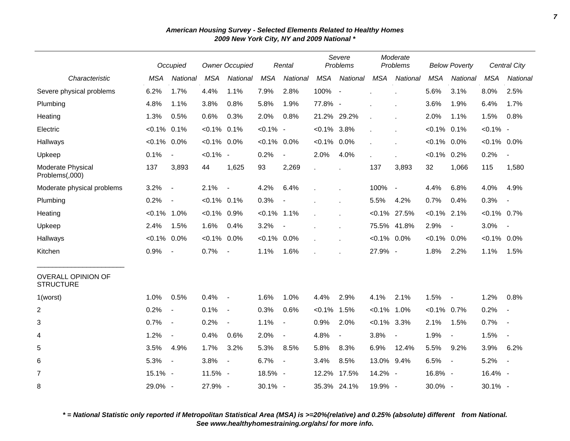|                                               |                | Occupied                 |                | <b>Owner Occupied</b>    |                | Rental         |                | Severe<br>Problems |                | Moderate<br>Problems     |                | <b>Below Poverty</b>     |                | Central City             |
|-----------------------------------------------|----------------|--------------------------|----------------|--------------------------|----------------|----------------|----------------|--------------------|----------------|--------------------------|----------------|--------------------------|----------------|--------------------------|
| Characteristic                                | <b>MSA</b>     | National                 | <b>MSA</b>     | National                 | <b>MSA</b>     | National       | <b>MSA</b>     | National           | <b>MSA</b>     | National                 | <b>MSA</b>     | National                 | <b>MSA</b>     | National                 |
| Severe physical problems                      | 6.2%           | 1.7%                     | 4.4%           | 1.1%                     | 7.9%           | 2.8%           | 100%           | $\overline{a}$     |                |                          | 5.6%           | 3.1%                     | 8.0%           | 2.5%                     |
| Plumbing                                      | 4.8%           | 1.1%                     | 3.8%           | 0.8%                     | 5.8%           | 1.9%           | 77.8% -        |                    |                | ä,                       | 3.6%           | 1.9%                     | 6.4%           | 1.7%                     |
| Heating                                       | 1.3%           | 0.5%                     | 0.6%           | 0.3%                     | 2.0%           | 0.8%           |                | 21.2% 29.2%        |                |                          | 2.0%           | 1.1%                     | 1.5%           | 0.8%                     |
| Electric                                      | $< 0.1\%$      | 0.1%                     | $< 0.1\%$      | 0.1%                     | $< 0.1\%$ -    |                | $< 0.1\%$ 3.8% |                    |                |                          | $< 0.1\%$      | 0.1%                     | $< 0.1\%$ -    |                          |
| Hallways                                      | $< 0.1\%$ 0.0% |                          | $< 0.1\%$ 0.0% |                          | $< 0.1\%$      | $0.0\%$        | $< 0.1\%$ 0.0% |                    |                |                          | $< 0.1\%$      | $0.0\%$                  | $< 0.1\%$ 0.0% |                          |
| Upkeep                                        | 0.1%           | $\overline{\phantom{a}}$ | $< 0.1\%$ -    |                          | 0.2%           |                | 2.0%           | 4.0%               |                |                          | $< 0.1\%$ 0.2% |                          | 0.2%           |                          |
| Moderate Physical<br>Problems(,000)           | 137            | 3,893                    | 44             | 1,625                    | 93             | 2,269          |                |                    | 137            | 3,893                    | 32             | 1,066                    | 115            | 1,580                    |
| Moderate physical problems                    | 3.2%           | $\overline{\phantom{a}}$ | 2.1%           | $\overline{\phantom{a}}$ | 4.2%           | 6.4%           |                |                    | 100%           | $\overline{\phantom{a}}$ | 4.4%           | 6.8%                     | 4.0%           | 4.9%                     |
| Plumbing                                      | 0.2%           | $\blacksquare$           | $< 0.1\%$ 0.1% |                          | 0.3%           |                |                |                    | 5.5%           | 4.2%                     | 0.7%           | 0.4%                     | 0.3%           |                          |
| Heating                                       | $< 0.1\%$ 1.0% |                          | $< 0.1\%$ 0.9% |                          | $< 0.1\%$      | 1.1%           |                |                    |                | $< 0.1\%$ 27.5%          | $< 0.1\%$ 2.1% |                          | $< 0.1\%$ 0.7% |                          |
| Upkeep                                        | 2.4%           | 1.5%                     | 1.6%           | 0.4%                     | 3.2%           |                |                |                    |                | 75.5% 41.8%              | 2.9%           | $\blacksquare$           | 3.0%           | $\overline{\phantom{a}}$ |
| Hallways                                      | $< 0.1\%$ 0.0% |                          | $< 0.1\%$      | $0.0\%$                  | $< 0.1\%$ 0.0% |                |                |                    | $< 0.1\%$ 0.0% |                          | $< 0.1\%$ 0.0% |                          | $< 0.1\%$ 0.0% |                          |
| Kitchen                                       | 0.9%           | $\blacksquare$           | 0.7%           | $\overline{\phantom{a}}$ | 1.1%           | 1.6%           |                |                    | 27.9% -        |                          | 1.8%           | 2.2%                     | 1.1%           | 1.5%                     |
| <b>OVERALL OPINION OF</b><br><b>STRUCTURE</b> |                |                          |                |                          |                |                |                |                    |                |                          |                |                          |                |                          |
| 1(worst)                                      | 1.0%           | 0.5%                     | 0.4%           | $\blacksquare$           | 1.6%           | 1.0%           | 4.4%           | 2.9%               | 4.1%           | 2.1%                     | 1.5%           | $\sim$                   | 1.2%           | 0.8%                     |
| $\overline{\mathbf{c}}$                       | 0.2%           | $\overline{\phantom{a}}$ | 0.1%           | $\blacksquare$           | 0.3%           | 0.6%           | $< 0.1\%$      | 1.5%               | $< 0.1\%$ 1.0% |                          | $< 0.1\%$ 0.7% |                          | 0.2%           |                          |
| 3                                             | 0.7%           | $\overline{\phantom{a}}$ | 0.2%           | $\blacksquare$           | 1.1%           | $\blacksquare$ | 0.9%           | 2.0%               | $< 0.1\%$ 3.3% |                          | 2.1%           | 1.5%                     | 0.7%           | $\overline{\phantom{a}}$ |
| 4                                             | 1.2%           | $\blacksquare$           | 0.4%           | 0.6%                     | 2.0%           | $\sim$         | 4.8%           | $\blacksquare$     | 3.8%           | $\overline{\phantom{a}}$ | 1.9%           | $\overline{\phantom{a}}$ | 1.5%           |                          |
| 5                                             | 3.5%           | 4.9%                     | 1.7%           | 3.2%                     | 5.3%           | 8.5%           | 5.8%           | 8.3%               | 6.9%           | 12.4%                    | 5.5%           | 9.2%                     | 3.9%           | 6.2%                     |
| 6                                             | 5.3%           | $\sim$                   | 3.8%           | $\overline{\phantom{a}}$ | 6.7%           | $\blacksquare$ | 3.4%           | 8.5%               | 13.0% 9.4%     |                          | 6.5%           | $\sim$                   | 5.2%           | $\blacksquare$           |
| $\overline{7}$                                | 15.1% -        |                          | 11.5% -        |                          | 18.5% -        |                |                | 12.2% 17.5%        | 14.2% -        |                          | 16.8% -        |                          | 16.4% -        |                          |
| 8                                             | 29.0% -        |                          | 27.9% -        |                          | 30.1% -        |                |                | 35.3% 24.1%        | 19.9% -        |                          | 30.0% -        |                          | 30.1% -        |                          |